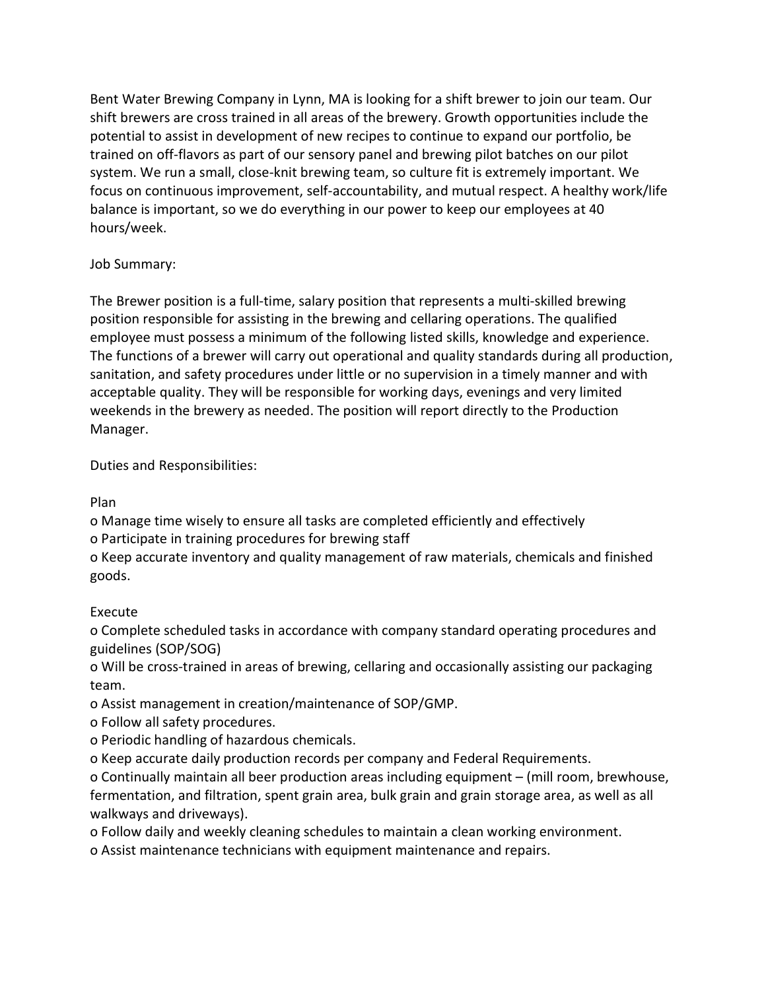Bent Water Brewing Company in Lynn, MA is looking for a shift brewer to join our team. Our shift brewers are cross trained in all areas of the brewery. Growth opportunities include the potential to assist in development of new recipes to continue to expand our portfolio, be trained on off-flavors as part of our sensory panel and brewing pilot batches on our pilot system. We run a small, close-knit brewing team, so culture fit is extremely important. We focus on continuous improvement, self-accountability, and mutual respect. A healthy work/life balance is important, so we do everything in our power to keep our employees at 40 hours/week.

## Job Summary:

The Brewer position is a full-time, salary position that represents a multi-skilled brewing position responsible for assisting in the brewing and cellaring operations. The qualified employee must possess a minimum of the following listed skills, knowledge and experience. The functions of a brewer will carry out operational and quality standards during all production, sanitation, and safety procedures under little or no supervision in a timely manner and with acceptable quality. They will be responsible for working days, evenings and very limited weekends in the brewery as needed. The position will report directly to the Production Manager.

Duties and Responsibilities:

Plan

o Manage time wisely to ensure all tasks are completed efficiently and effectively o Participate in training procedures for brewing staff

o Keep accurate inventory and quality management of raw materials, chemicals and finished goods.

## Execute

o Complete scheduled tasks in accordance with company standard operating procedures and guidelines (SOP/SOG)

o Will be cross-trained in areas of brewing, cellaring and occasionally assisting our packaging team.

o Assist management in creation/maintenance of SOP/GMP.

- o Follow all safety procedures.
- o Periodic handling of hazardous chemicals.

o Keep accurate daily production records per company and Federal Requirements.

o Continually maintain all beer production areas including equipment – (mill room, brewhouse, fermentation, and filtration, spent grain area, bulk grain and grain storage area, as well as all walkways and driveways).

o Follow daily and weekly cleaning schedules to maintain a clean working environment.

o Assist maintenance technicians with equipment maintenance and repairs.